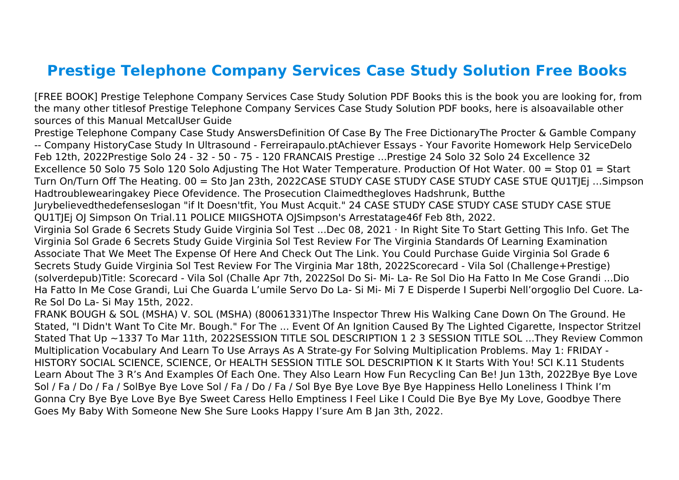## **Prestige Telephone Company Services Case Study Solution Free Books**

[FREE BOOK] Prestige Telephone Company Services Case Study Solution PDF Books this is the book you are looking for, from the many other titlesof Prestige Telephone Company Services Case Study Solution PDF books, here is alsoavailable other sources of this Manual MetcalUser Guide

Prestige Telephone Company Case Study AnswersDefinition Of Case By The Free DictionaryThe Procter & Gamble Company -- Company HistoryCase Study In Ultrasound - Ferreirapaulo.ptAchiever Essays - Your Favorite Homework Help ServiceDelo Feb 12th, 2022Prestige Solo 24 - 32 - 50 - 75 - 120 FRANCAIS Prestige ...Prestige 24 Solo 32 Solo 24 Excellence 32 Excellence 50 Solo 75 Solo 120 Solo Adjusting The Hot Water Temperature. Production Of Hot Water. 00 = Stop 01 = Start Turn On/Turn Off The Heating. 00 = Sto Jan 23th, 2022CASE STUDY CASE STUDY CASE STUDY CASE STUE QU1TIEi ...Simpson Hadtroublewearingakey Piece Ofevidence. The Prosecution Claimedthegloves Hadshrunk, Butthe

Jurybelievedthedefenseslogan "if It Doesn'tfit, You Must Acquit." 24 CASE STUDY CASE STUDY CASE STUDY CASE STUE QU1T|E| O| Simpson On Trial.11 POLICE MIIGSHOTA O| Simpson's Arrestatage 46f Feb 8th, 2022.

Virginia Sol Grade 6 Secrets Study Guide Virginia Sol Test ...Dec 08, 2021 · In Right Site To Start Getting This Info. Get The Virginia Sol Grade 6 Secrets Study Guide Virginia Sol Test Review For The Virginia Standards Of Learning Examination Associate That We Meet The Expense Of Here And Check Out The Link. You Could Purchase Guide Virginia Sol Grade 6 Secrets Study Guide Virginia Sol Test Review For The Virginia Mar 18th, 2022Scorecard - Vila Sol (Challenge+Prestige) (solverdepub)Title: Scorecard - Vila Sol (Challe Apr 7th, 2022Sol Do Si- Mi- La- Re Sol Dio Ha Fatto In Me Cose Grandi ...Dio Ha Fatto In Me Cose Grandi, Lui Che Guarda L'umile Servo Do La- Si Mi- Mi 7 E Disperde I Superbi Nell'orgoglio Del Cuore. La-Re Sol Do La-Si May 15th, 2022.

FRANK BOUGH & SOL (MSHA) V. SOL (MSHA) (80061331)The Inspector Threw His Walking Cane Down On The Ground. He Stated, "I Didn't Want To Cite Mr. Bough." For The ... Event Of An Ignition Caused By The Lighted Cigarette, Inspector Stritzel Stated That Up ~1337 To Mar 11th, 2022SESSION TITLE SOL DESCRIPTION 1 2 3 SESSION TITLE SOL ...They Review Common Multiplication Vocabulary And Learn To Use Arrays As A Strate-gy For Solving Multiplication Problems. May 1: FRIDAY -HISTORY SOCIAL SCIENCE, SCIENCE, Or HEALTH SESSION TITLE SOL DESCRIPTION K It Starts With You! SCI K.11 Students Learn About The 3 R's And Examples Of Each One. They Also Learn How Fun Recycling Can Be! Jun 13th, 2022Bye Bye Love Sol / Fa / Do / Fa / SolBye Bye Love Sol / Fa / Do / Fa / Sol Bye Bye Love Bye Bye Happiness Hello Loneliness I Think I'm Gonna Cry Bye Bye Love Bye Bye Sweet Caress Hello Emptiness I Feel Like I Could Die Bye Bye My Love, Goodbye There Goes My Baby With Someone New She Sure Looks Happy I'sure Am B Jan 3th, 2022.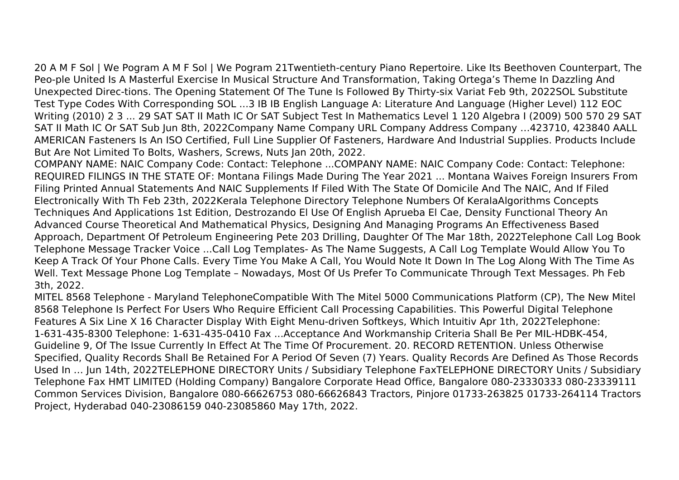20 A M F Sol | We Pogram A M F Sol | We Pogram 21Twentieth-century Piano Repertoire. Like Its Beethoven Counterpart, The Peo-ple United Is A Masterful Exercise In Musical Structure And Transformation, Taking Ortega's Theme In Dazzling And Unexpected Direc-tions. The Opening Statement Of The Tune Is Followed By Thirty-six Variat Feb 9th, 2022SOL Substitute Test Type Codes With Corresponding SOL ...3 IB IB English Language A: Literature And Language (Higher Level) 112 EOC Writing (2010) 2 3 ... 29 SAT SAT II Math IC Or SAT Subject Test In Mathematics Level 1 120 Algebra I (2009) 500 570 29 SAT SAT II Math IC Or SAT Sub Jun 8th, 2022Company Name Company URL Company Address Company …423710, 423840 AALL AMERICAN Fasteners Is An ISO Certified, Full Line Supplier Of Fasteners, Hardware And Industrial Supplies. Products Include But Are Not Limited To Bolts, Washers, Screws, Nuts Jan 20th, 2022.

COMPANY NAME: NAIC Company Code: Contact: Telephone ...COMPANY NAME: NAIC Company Code: Contact: Telephone: REQUIRED FILINGS IN THE STATE OF: Montana Filings Made During The Year 2021 ... Montana Waives Foreign Insurers From Filing Printed Annual Statements And NAIC Supplements If Filed With The State Of Domicile And The NAIC, And If Filed Electronically With Th Feb 23th, 2022Kerala Telephone Directory Telephone Numbers Of KeralaAlgorithms Concepts Techniques And Applications 1st Edition, Destrozando El Use Of English Aprueba El Cae, Density Functional Theory An Advanced Course Theoretical And Mathematical Physics, Designing And Managing Programs An Effectiveness Based Approach, Department Of Petroleum Engineering Pete 203 Drilling, Daughter Of The Mar 18th, 2022Telephone Call Log Book Telephone Message Tracker Voice ...Call Log Templates- As The Name Suggests, A Call Log Template Would Allow You To Keep A Track Of Your Phone Calls. Every Time You Make A Call, You Would Note It Down In The Log Along With The Time As Well. Text Message Phone Log Template – Nowadays, Most Of Us Prefer To Communicate Through Text Messages. Ph Feb 3th, 2022.

MITEL 8568 Telephone - Maryland TelephoneCompatible With The Mitel 5000 Communications Platform (CP), The New Mitel 8568 Telephone Is Perfect For Users Who Require Efficient Call Processing Capabilities. This Powerful Digital Telephone Features A Six Line X 16 Character Display With Eight Menu-driven Softkeys, Which Intuitiv Apr 1th, 2022Telephone: 1-631-435-8300 Telephone: 1-631-435-0410 Fax ...Acceptance And Workmanship Criteria Shall Be Per MIL-HDBK-454, Guideline 9, Of The Issue Currently In Effect At The Time Of Procurement. 20. RECORD RETENTION. Unless Otherwise Specified, Quality Records Shall Be Retained For A Period Of Seven (7) Years. Quality Records Are Defined As Those Records Used In … Jun 14th, 2022TELEPHONE DIRECTORY Units / Subsidiary Telephone FaxTELEPHONE DIRECTORY Units / Subsidiary Telephone Fax HMT LIMITED (Holding Company) Bangalore Corporate Head Office, Bangalore 080-23330333 080-23339111 Common Services Division, Bangalore 080-66626753 080-66626843 Tractors, Pinjore 01733-263825 01733-264114 Tractors Project, Hyderabad 040-23086159 040-23085860 May 17th, 2022.